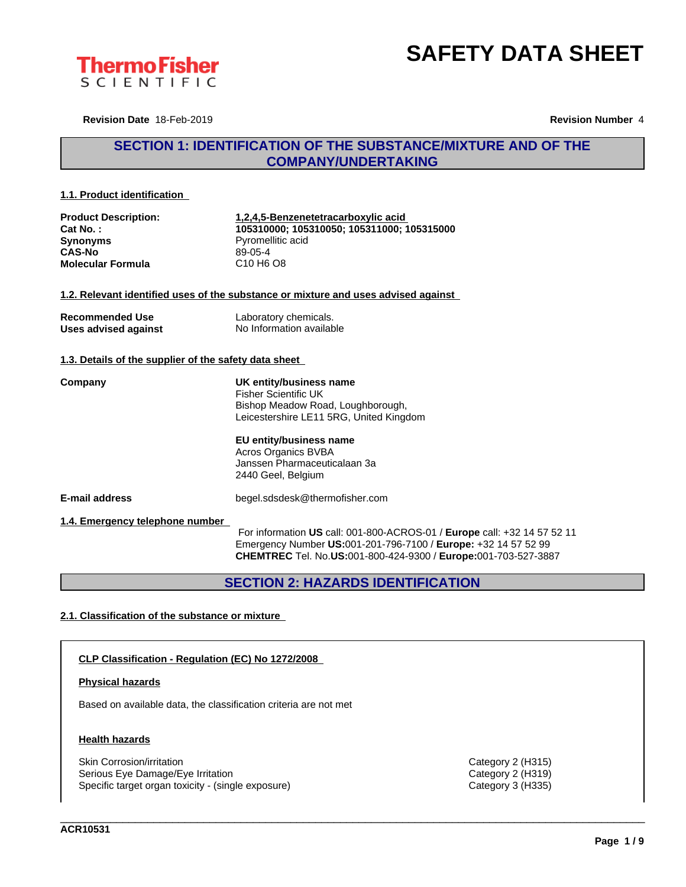



**Revision Date** 18-Feb-2019 **Revision Number** 4

## **SECTION 1: IDENTIFICATION OF THE SUBSTANCE/MIXTURE AND OF THE COMPANY/UNDERTAKING**

#### **1.1. Product identification**

| <b>Product Description:</b> | 1,2,4,5-Benzenetetracarboxylic acid                                                |  |
|-----------------------------|------------------------------------------------------------------------------------|--|
| Cat No.:                    | 105310000; 105310050; 105311000; 105315000                                         |  |
| <b>Synonyms</b>             | Pyromellitic acid                                                                  |  |
| <b>CAS-No</b>               | $89-05-4$                                                                          |  |
| Molecular Formula           | C <sub>10</sub> H <sub>6</sub> O <sub>8</sub>                                      |  |
|                             | 1.2. Relevant identified uses of the substance or mixture and uses advised against |  |
| <b>Recommended Use</b>      | Laboratory chemicals.                                                              |  |
| Uses advised against        | No Information available                                                           |  |

### **1.3. Details of the supplier of the safety data sheet**

**Company UK entity/business name** Fisher Scientific UK Bishop Meadow Road, Loughborough, Leicestershire LE11 5RG, United Kingdom

> **EU entity/business name** Acros Organics BVBA Janssen Pharmaceuticalaan 3a 2440 Geel, Belgium

**E-mail address** begel.sdsdesk@thermofisher.com

**1.4. Emergency telephone number**

For information **US** call: 001-800-ACROS-01 / **Europe** call: +32 14 57 52 11 Emergency Number **US:**001-201-796-7100 / **Europe:** +32 14 57 52 99 **CHEMTREC** Tel. No.**US:**001-800-424-9300 / **Europe:**001-703-527-3887

\_\_\_\_\_\_\_\_\_\_\_\_\_\_\_\_\_\_\_\_\_\_\_\_\_\_\_\_\_\_\_\_\_\_\_\_\_\_\_\_\_\_\_\_\_\_\_\_\_\_\_\_\_\_\_\_\_\_\_\_\_\_\_\_\_\_\_\_\_\_\_\_\_\_\_\_\_\_\_\_\_\_\_\_\_\_\_\_\_\_\_\_\_\_

**SECTION 2: HAZARDS IDENTIFICATION**

### **2.1. Classification of the substance or mixture**

### **CLP Classification - Regulation (EC) No 1272/2008**

#### **Physical hazards**

Based on available data, the classification criteria are not met

#### **Health hazards**

Skin Corrosion/irritation Category 2 (H315) Serious Eye Damage/Eye Irritation Category 2 (H319) Specific target organ toxicity - (single exposure) Category 3 (H335) Category 3 (H335)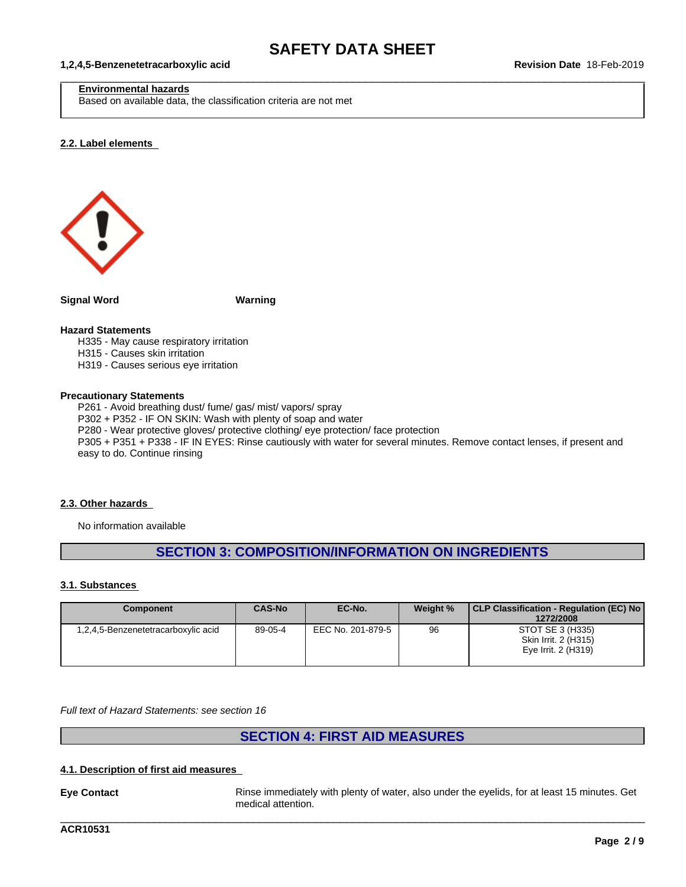$\_$  ,  $\_$  ,  $\_$  ,  $\_$  ,  $\_$  ,  $\_$  ,  $\_$  ,  $\_$  ,  $\_$  ,  $\_$  ,  $\_$  ,  $\_$  ,  $\_$  ,  $\_$  ,  $\_$  ,  $\_$  ,  $\_$  ,  $\_$  ,  $\_$  ,  $\_$  ,  $\_$  ,  $\_$  ,  $\_$  ,  $\_$  ,  $\_$  ,  $\_$  ,  $\_$  ,  $\_$  ,  $\_$  ,  $\_$  ,  $\_$  ,  $\_$  ,  $\_$  ,  $\_$  ,  $\_$  ,  $\_$  ,  $\_$  ,

#### **1,2,4,5-Benzenetetracarboxylic acid Revision Date** 18-Feb-2019

#### **Environmental hazards**

Based on available data, the classification criteria are not met

#### **2.2. Label elements**



**Signal Word Warning**

#### **Hazard Statements**

H335 - May cause respiratory irritation H315 - Causes skin irritation

H319 - Causes serious eye irritation

#### **Precautionary Statements**

P261 - Avoid breathing dust/ fume/ gas/ mist/ vapors/ spray P302 + P352 - IF ON SKIN: Wash with plenty of soap and water P280 - Wear protective gloves/ protective clothing/ eye protection/ face protection P305 + P351 + P338 - IF IN EYES: Rinse cautiously with water for several minutes. Remove contact lenses, if present and easy to do. Continue rinsing

#### **2.3. Other hazards**

No information available

## **SECTION 3: COMPOSITION/INFORMATION ON INGREDIENTS**

#### **3.1. Substances**

| <b>Component</b>                    | <b>CAS-No</b> | EC-No.            | Weight % | CLP Classification - Regulation (EC) No<br>1272/2008            |
|-------------------------------------|---------------|-------------------|----------|-----------------------------------------------------------------|
| 1,2,4,5-Benzenetetracarboxylic acid | 89-05-4       | EEC No. 201-879-5 | 96       | STOT SE 3 (H335)<br>Skin Irrit. 2 (H315)<br>Eye Irrit. 2 (H319) |

*Full text of Hazard Statements: see section 16*

## **SECTION 4: FIRST AID MEASURES**

### **4.1. Description of first aid measures**

**Eye Contact** Rinse immediately with plenty of water, also under the eyelids, for at least 15 minutes. Get medical attention.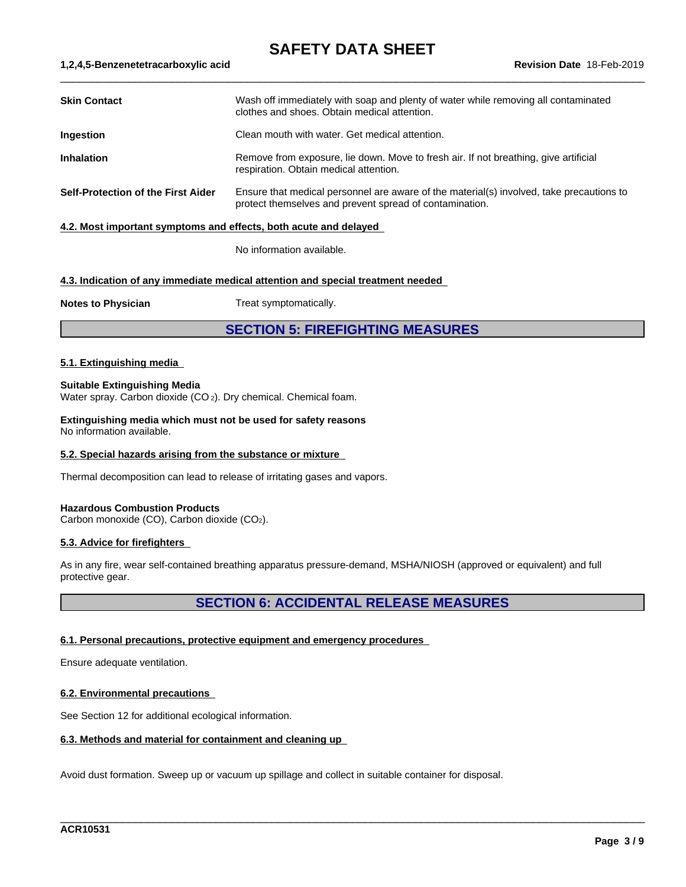$\_$  ,  $\_$  ,  $\_$  ,  $\_$  ,  $\_$  ,  $\_$  ,  $\_$  ,  $\_$  ,  $\_$  ,  $\_$  ,  $\_$  ,  $\_$  ,  $\_$  ,  $\_$  ,  $\_$  ,  $\_$  ,  $\_$  ,  $\_$  ,  $\_$  ,  $\_$  ,  $\_$  ,  $\_$  ,  $\_$  ,  $\_$  ,  $\_$  ,  $\_$  ,  $\_$  ,  $\_$  ,  $\_$  ,  $\_$  ,  $\_$  ,  $\_$  ,  $\_$  ,  $\_$  ,  $\_$  ,  $\_$  ,  $\_$  ,

#### **1,2,4,5-Benzenetetracarboxylic acid Revision Date** 18-Feb-2019

| <b>Skin Contact</b>                | Wash off immediately with soap and plenty of water while removing all contaminated<br>clothes and shoes. Obtain medical attention.                  |
|------------------------------------|-----------------------------------------------------------------------------------------------------------------------------------------------------|
| <b>Ingestion</b>                   | Clean mouth with water. Get medical attention.                                                                                                      |
| <b>Inhalation</b>                  | Remove from exposure, lie down. Move to fresh air. If not breathing, give artificial<br>respiration. Obtain medical attention.                      |
| Self-Protection of the First Aider | Ensure that medical personnel are aware of the material(s) involved, take precautions to<br>protect themselves and prevent spread of contamination. |
|                                    |                                                                                                                                                     |

#### **4.2. Most important symptoms and effects, both acute and delayed**

No information available.

#### **4.3. Indication of any immediate medical attention and special treatment needed**

**Notes to Physician** Treat symptomatically.

## **SECTION 5: FIREFIGHTING MEASURES**

#### **5.1. Extinguishing media**

#### **Suitable Extinguishing Media**

Water spray. Carbon dioxide (CO 2). Dry chemical. Chemical foam.

**Extinguishing media which must not be used for safety reasons** No information available.

#### **5.2. Special hazards arising from the substance or mixture**

Thermal decomposition can lead to release of irritating gases and vapors.

#### **Hazardous Combustion Products**

Carbon monoxide (CO), Carbon dioxide (CO2).

#### **5.3. Advice for firefighters**

As in any fire, wear self-contained breathing apparatus pressure-demand, MSHA/NIOSH (approved or equivalent) and full protective gear.

## **SECTION 6: ACCIDENTAL RELEASE MEASURES**

\_\_\_\_\_\_\_\_\_\_\_\_\_\_\_\_\_\_\_\_\_\_\_\_\_\_\_\_\_\_\_\_\_\_\_\_\_\_\_\_\_\_\_\_\_\_\_\_\_\_\_\_\_\_\_\_\_\_\_\_\_\_\_\_\_\_\_\_\_\_\_\_\_\_\_\_\_\_\_\_\_\_\_\_\_\_\_\_\_\_\_\_\_\_

#### **6.1. Personal precautions, protective equipment and emergency procedures**

Ensure adequate ventilation.

#### **6.2. Environmental precautions**

See Section 12 for additional ecological information.

#### **6.3. Methods and material for containment and cleaning up**

Avoid dust formation. Sweep up or vacuum up spillage and collect in suitable container for disposal.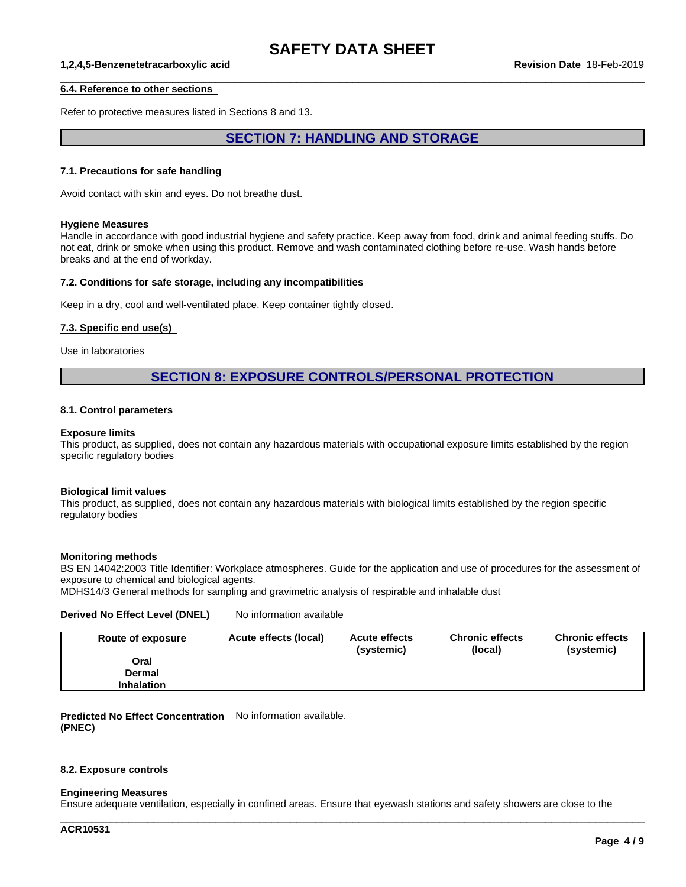$\_$  ,  $\_$  ,  $\_$  ,  $\_$  ,  $\_$  ,  $\_$  ,  $\_$  ,  $\_$  ,  $\_$  ,  $\_$  ,  $\_$  ,  $\_$  ,  $\_$  ,  $\_$  ,  $\_$  ,  $\_$  ,  $\_$  ,  $\_$  ,  $\_$  ,  $\_$  ,  $\_$  ,  $\_$  ,  $\_$  ,  $\_$  ,  $\_$  ,  $\_$  ,  $\_$  ,  $\_$  ,  $\_$  ,  $\_$  ,  $\_$  ,  $\_$  ,  $\_$  ,  $\_$  ,  $\_$  ,  $\_$  ,  $\_$  ,

#### **1,2,4,5-Benzenetetracarboxylic acid Revision Date** 18-Feb-2019

#### **6.4. Reference to other sections**

Refer to protective measures listed in Sections 8 and 13.

## **SECTION 7: HANDLING AND STORAGE**

#### **7.1. Precautions for safe handling**

Avoid contact with skin and eyes. Do not breathe dust.

#### **Hygiene Measures**

Handle in accordance with good industrial hygiene and safety practice. Keep away from food, drink and animal feeding stuffs. Do not eat, drink or smoke when using this product. Remove and wash contaminated clothing before re-use. Wash hands before breaks and at the end of workday.

#### **7.2. Conditions for safe storage, including any incompatibilities**

Keep in a dry, cool and well-ventilated place. Keep container tightly closed.

#### **7.3. Specific end use(s)**

Use in laboratories

### **SECTION 8: EXPOSURE CONTROLS/PERSONAL PROTECTION**

#### **8.1. Control parameters**

#### **Exposure limits**

This product, as supplied, does not contain any hazardous materials with occupational exposure limits established by the region specific regulatory bodies

#### **Biological limit values**

This product, as supplied, does not contain any hazardous materials with biological limits established by the region specific regulatory bodies

#### **Monitoring methods**

BS EN 14042:2003 Title Identifier: Workplace atmospheres. Guide for the application and use of procedures for the assessment of exposure to chemical and biological agents.

MDHS14/3 General methods for sampling and gravimetric analysis of respirable and inhalable dust

#### **Derived No Effect Level (DNEL)** No information available

| Route of exposure | Acute effects (local) | <b>Acute effects</b><br>(systemic) | <b>Chronic effects</b><br>(local) | <b>Chronic effects</b><br>(systemic) |
|-------------------|-----------------------|------------------------------------|-----------------------------------|--------------------------------------|
| Oral              |                       |                                    |                                   |                                      |
| Dermal            |                       |                                    |                                   |                                      |
| <b>Inhalation</b> |                       |                                    |                                   |                                      |

**Predicted No Effect Concentration** No information available. **(PNEC)**

#### **8.2. Exposure controls**

#### **Engineering Measures**

Ensure adequate ventilation, especially in confined areas. Ensure that eyewash stations and safety showers are close to the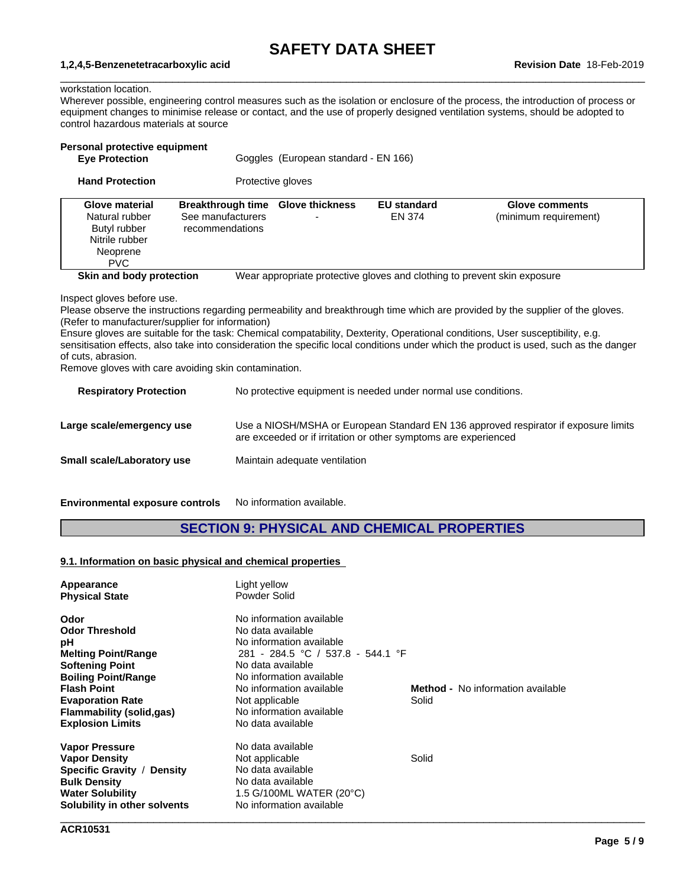$\_$  ,  $\_$  ,  $\_$  ,  $\_$  ,  $\_$  ,  $\_$  ,  $\_$  ,  $\_$  ,  $\_$  ,  $\_$  ,  $\_$  ,  $\_$  ,  $\_$  ,  $\_$  ,  $\_$  ,  $\_$  ,  $\_$  ,  $\_$  ,  $\_$  ,  $\_$  ,  $\_$  ,  $\_$  ,  $\_$  ,  $\_$  ,  $\_$  ,  $\_$  ,  $\_$  ,  $\_$  ,  $\_$  ,  $\_$  ,  $\_$  ,  $\_$  ,  $\_$  ,  $\_$  ,  $\_$  ,  $\_$  ,  $\_$  ,

#### **1,2,4,5-Benzenetetracarboxylic acid Revision Date** 18-Feb-2019

## workstation location.

Wherever possible, engineering control measures such as the isolation or enclosure of the process, the introduction of process or equipment changes to minimise release or contact, and the use of properly designed ventilation systems, should be adopted to control hazardous materials at source

| <b>Hand Protection</b><br>Protective gloves<br><b>Breakthrough time</b><br><b>Glove thickness</b><br><b>EU standard</b><br><b>Glove material</b><br><b>Glove comments</b><br>Natural rubber<br>See manufacturers<br>EN 374<br>(minimum requirement)<br>Butyl rubber<br>recommendations<br>Nitrile rubber<br>Neoprene<br><b>PVC</b><br>Skin and body protection<br>Wear appropriate protective gloves and clothing to prevent skin exposure<br>Inspect gloves before use.<br>Please observe the instructions regarding permeability and breakthrough time which are provided by the supplier of the gloves.<br>(Refer to manufacturer/supplier for information)<br>Ensure gloves are suitable for the task: Chemical compatability, Dexterity, Operational conditions, User susceptibility, e.g.<br>sensitisation effects, also take into consideration the specific local conditions under which the product is used, such as the danger<br>Remove gloves with care avoiding skin contamination.<br>No protective equipment is needed under normal use conditions.<br><b>Respiratory Protection</b> | Personal protective equipment<br><b>Eye Protection</b> | Goggles (European standard - EN 166) |  |
|-----------------------------------------------------------------------------------------------------------------------------------------------------------------------------------------------------------------------------------------------------------------------------------------------------------------------------------------------------------------------------------------------------------------------------------------------------------------------------------------------------------------------------------------------------------------------------------------------------------------------------------------------------------------------------------------------------------------------------------------------------------------------------------------------------------------------------------------------------------------------------------------------------------------------------------------------------------------------------------------------------------------------------------------------------------------------------------------------------|--------------------------------------------------------|--------------------------------------|--|
|                                                                                                                                                                                                                                                                                                                                                                                                                                                                                                                                                                                                                                                                                                                                                                                                                                                                                                                                                                                                                                                                                                     |                                                        |                                      |  |
|                                                                                                                                                                                                                                                                                                                                                                                                                                                                                                                                                                                                                                                                                                                                                                                                                                                                                                                                                                                                                                                                                                     |                                                        |                                      |  |
|                                                                                                                                                                                                                                                                                                                                                                                                                                                                                                                                                                                                                                                                                                                                                                                                                                                                                                                                                                                                                                                                                                     | of cuts, abrasion.                                     |                                      |  |
| Use a NIOSH/MSHA or European Standard EN 136 approved respirator if exposure limits<br>Large scale/emergency use<br>are exceeded or if irritation or other symptoms are experienced                                                                                                                                                                                                                                                                                                                                                                                                                                                                                                                                                                                                                                                                                                                                                                                                                                                                                                                 |                                                        |                                      |  |

**Small scale/Laboratory use** Maintain adequate ventilation

**Environmental exposure controls** No information available.

## **SECTION 9: PHYSICAL AND CHEMICAL PROPERTIES**

#### **9.1. Information on basic physical and chemical properties**

| Appearance                   | Light yellow                      |                                          |  |
|------------------------------|-----------------------------------|------------------------------------------|--|
| <b>Physical State</b>        | Powder Solid                      |                                          |  |
| Odor                         | No information available          |                                          |  |
| <b>Odor Threshold</b>        | No data available                 |                                          |  |
| рH                           | No information available          |                                          |  |
| <b>Melting Point/Range</b>   | 281 - 284.5 °C / 537.8 - 544.1 °F |                                          |  |
| <b>Softening Point</b>       | No data available                 |                                          |  |
| <b>Boiling Point/Range</b>   | No information available          |                                          |  |
| <b>Flash Point</b>           | No information available          | <b>Method -</b> No information available |  |
| <b>Evaporation Rate</b>      | Not applicable                    | Solid                                    |  |
| Flammability (solid,gas)     | No information available          |                                          |  |
| <b>Explosion Limits</b>      | No data available                 |                                          |  |
| <b>Vapor Pressure</b>        | No data available                 |                                          |  |
| <b>Vapor Density</b>         | Not applicable                    | Solid                                    |  |
| Specific Gravity / Density   | No data available                 |                                          |  |
| <b>Bulk Density</b>          | No data available                 |                                          |  |
| <b>Water Solubility</b>      | 1.5 G/100ML WATER (20°C)          |                                          |  |
| Solubility in other solvents | No information available          |                                          |  |
|                              |                                   |                                          |  |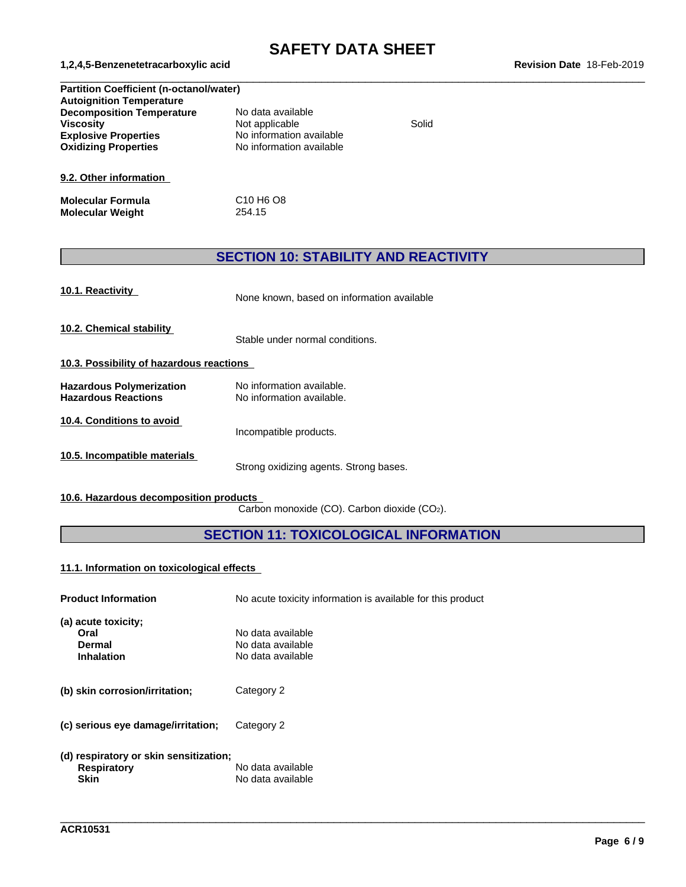$\_$  ,  $\_$  ,  $\_$  ,  $\_$  ,  $\_$  ,  $\_$  ,  $\_$  ,  $\_$  ,  $\_$  ,  $\_$  ,  $\_$  ,  $\_$  ,  $\_$  ,  $\_$  ,  $\_$  ,  $\_$  ,  $\_$  ,  $\_$  ,  $\_$  ,  $\_$  ,  $\_$  ,  $\_$  ,  $\_$  ,  $\_$  ,  $\_$  ,  $\_$  ,  $\_$  ,  $\_$  ,  $\_$  ,  $\_$  ,  $\_$  ,  $\_$  ,  $\_$  ,  $\_$  ,  $\_$  ,  $\_$  ,  $\_$  ,

#### **1,2,4,5-Benzenetetracarboxylic acid Revision Date** 18-Feb-2019

| <b>Partition Coefficient (n-octanol/water)</b> |                                               |       |  |  |
|------------------------------------------------|-----------------------------------------------|-------|--|--|
| <b>Autoignition Temperature</b>                |                                               |       |  |  |
| <b>Decomposition Temperature</b>               | No data available                             |       |  |  |
| <b>Viscosity</b>                               | Not applicable                                | Solid |  |  |
| <b>Explosive Properties</b>                    | No information available                      |       |  |  |
| <b>Oxidizing Properties</b>                    | No information available                      |       |  |  |
| 9.2. Other information                         |                                               |       |  |  |
| <b>Molecular Formula</b>                       | C <sub>10</sub> H <sub>6</sub> O <sub>8</sub> |       |  |  |
| <b>Molecular Weight</b>                        | 254.15                                        |       |  |  |

## **SECTION 10: STABILITY AND REACTIVITY**

|  | 10.1. Reactivity |
|--|------------------|
|  |                  |

**10.1. Reactivity** None known, based on information available

**10.2. Chemical stability**

Stable under normal conditions.

- **10.3. Possibility of hazardous reactions**
- **Hazardous Polymerization** No information available.<br> **Hazardous Reactions** No information available. **Hazardous Reactions**
- **10.4. Conditions to avoid**

- Incompatible products.
- **10.5. Incompatible materials**

Strong oxidizing agents. Strong bases.

**10.6. Hazardous decomposition products**

Carbon monoxide (CO). Carbon dioxide (CO2).

## **SECTION 11: TOXICOLOGICAL INFORMATION**

\_\_\_\_\_\_\_\_\_\_\_\_\_\_\_\_\_\_\_\_\_\_\_\_\_\_\_\_\_\_\_\_\_\_\_\_\_\_\_\_\_\_\_\_\_\_\_\_\_\_\_\_\_\_\_\_\_\_\_\_\_\_\_\_\_\_\_\_\_\_\_\_\_\_\_\_\_\_\_\_\_\_\_\_\_\_\_\_\_\_\_\_\_\_

#### **11.1. Information on toxicologicaleffects**

| <b>Product Information</b>                                                  | No acute toxicity information is available for this product |
|-----------------------------------------------------------------------------|-------------------------------------------------------------|
| (a) acute toxicity;<br>Oral<br><b>Dermal</b><br><b>Inhalation</b>           | No data available<br>No data available<br>No data available |
| (b) skin corrosion/irritation;                                              | Category 2                                                  |
| (c) serious eye damage/irritation;                                          | Category 2                                                  |
| (d) respiratory or skin sensitization;<br><b>Respiratory</b><br><b>Skin</b> | No data available<br>No data available                      |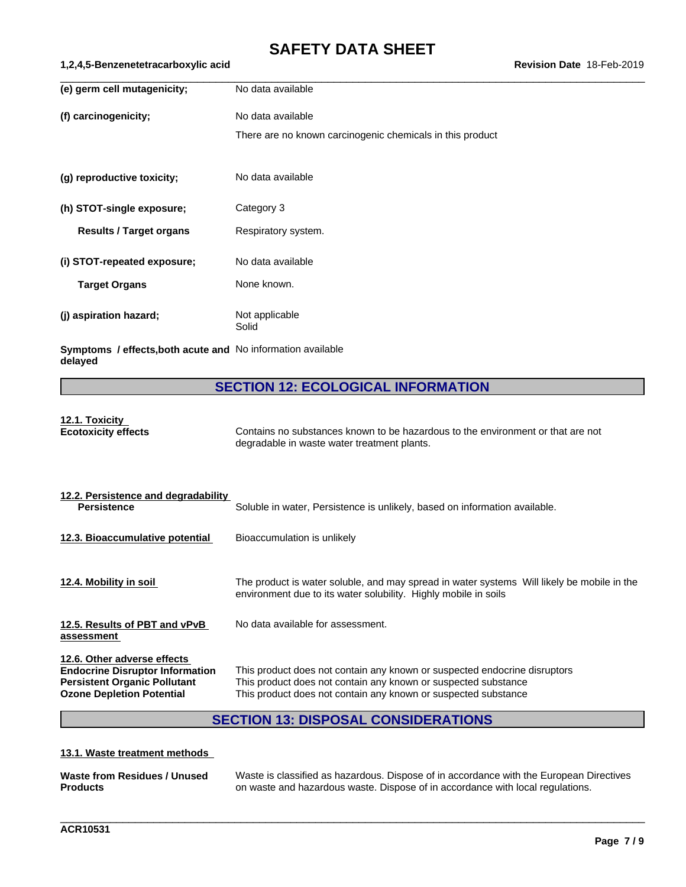| No data available<br>No data available<br>There are no known carcinogenic chemicals in this product<br>No data available<br>Category 3<br>Respiratory system.<br><b>Results / Target organs</b><br>No data available<br>None known.<br><b>Target Organs</b><br>Not applicable<br>Solid |                             |  |
|----------------------------------------------------------------------------------------------------------------------------------------------------------------------------------------------------------------------------------------------------------------------------------------|-----------------------------|--|
|                                                                                                                                                                                                                                                                                        | (e) germ cell mutagenicity; |  |
|                                                                                                                                                                                                                                                                                        | (f) carcinogenicity;        |  |
|                                                                                                                                                                                                                                                                                        |                             |  |
|                                                                                                                                                                                                                                                                                        | (g) reproductive toxicity;  |  |
|                                                                                                                                                                                                                                                                                        | (h) STOT-single exposure;   |  |
|                                                                                                                                                                                                                                                                                        |                             |  |
|                                                                                                                                                                                                                                                                                        | (i) STOT-repeated exposure; |  |
|                                                                                                                                                                                                                                                                                        |                             |  |
|                                                                                                                                                                                                                                                                                        | (j) aspiration hazard;      |  |

**Symptoms / effects,both acute and** No information available **delayed**

## **SECTION 12: ECOLOGICAL INFORMATION**

# **12.1. Toxicity**

**Ecotoxicity effects** Contains no substances known to be hazardous to the environment or that are not degradable in waste water treatment plants.

| 12.2. Persistence and degradability<br><b>Persistence</b>                                                                                        | Soluble in water, Persistence is unlikely, based on information available.                                                                                                                                    |
|--------------------------------------------------------------------------------------------------------------------------------------------------|---------------------------------------------------------------------------------------------------------------------------------------------------------------------------------------------------------------|
| 12.3. Bioaccumulative potential                                                                                                                  | Bioaccumulation is unlikely                                                                                                                                                                                   |
| 12.4. Mobility in soil                                                                                                                           | The product is water soluble, and may spread in water systems Will likely be mobile in the<br>environment due to its water solubility. Highly mobile in soils                                                 |
| 12.5. Results of PBT and vPvB<br>assessment                                                                                                      | No data available for assessment.                                                                                                                                                                             |
| 12.6. Other adverse effects<br><b>Endocrine Disruptor Information</b><br><b>Persistent Organic Pollutant</b><br><b>Ozone Depletion Potential</b> | This product does not contain any known or suspected endocrine disruptors<br>This product does not contain any known or suspected substance<br>This product does not contain any known or suspected substance |

## **SECTION 13: DISPOSAL CONSIDERATIONS**

#### **13.1. Waste treatment methods**

| Waste from Residues / Unused | Waste is classified as hazardous. Dispose of in accordance with the European Directives |
|------------------------------|-----------------------------------------------------------------------------------------|
| <b>Products</b>              | on waste and hazardous waste. Dispose of in accordance with local regulations.          |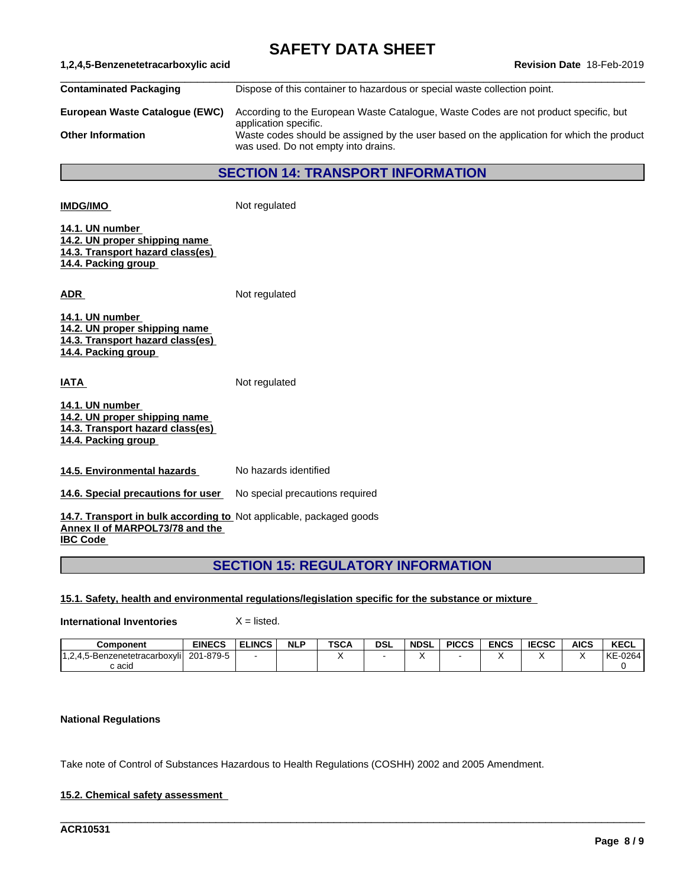| 1,2,4,5-Benzenetetracarboxylic acid<br>Revision Date 18-Feb-2019                                                          |                                                                                                                                  |  |  |  |  |  |  |
|---------------------------------------------------------------------------------------------------------------------------|----------------------------------------------------------------------------------------------------------------------------------|--|--|--|--|--|--|
| <b>Contaminated Packaging</b>                                                                                             | Dispose of this container to hazardous or special waste collection point.                                                        |  |  |  |  |  |  |
| European Waste Catalogue (EWC)                                                                                            | According to the European Waste Catalogue, Waste Codes are not product specific, but<br>application specific.                    |  |  |  |  |  |  |
| <b>Other Information</b>                                                                                                  | Waste codes should be assigned by the user based on the application for which the product<br>was used. Do not empty into drains. |  |  |  |  |  |  |
|                                                                                                                           | <b>SECTION 14: TRANSPORT INFORMATION</b>                                                                                         |  |  |  |  |  |  |
| <b>IMDG/IMO</b>                                                                                                           | Not regulated                                                                                                                    |  |  |  |  |  |  |
| 14.1. UN number<br>14.2. UN proper shipping name<br>14.3. Transport hazard class(es)<br>14.4. Packing group               |                                                                                                                                  |  |  |  |  |  |  |
| <b>ADR</b>                                                                                                                | Not regulated                                                                                                                    |  |  |  |  |  |  |
| 14.1. UN number<br>14.2. UN proper shipping name<br>14.3. Transport hazard class(es)<br>14.4. Packing group               |                                                                                                                                  |  |  |  |  |  |  |
| <b>IATA</b>                                                                                                               | Not regulated                                                                                                                    |  |  |  |  |  |  |
| 14.1. UN number<br>14.2. UN proper shipping name<br>14.3. Transport hazard class(es)<br>14.4. Packing group               |                                                                                                                                  |  |  |  |  |  |  |
| 14.5. Environmental hazards                                                                                               | No hazards identified                                                                                                            |  |  |  |  |  |  |
| 14.6. Special precautions for user                                                                                        | No special precautions required                                                                                                  |  |  |  |  |  |  |
| 14.7. Transport in bulk according to Not applicable, packaged goods<br>Annex II of MARPOL73/78 and the<br><b>IBC Code</b> |                                                                                                                                  |  |  |  |  |  |  |

## **15.1. Safety, health and environmental regulations/legislation specific for the substance or mixture**

**International Inventories** X = listed.

| <b>Component</b>                                                | <b>EINECS</b>  | <b>ELINCS</b> | <b>NLP</b> | <b>TSCA</b> | <b>DSL</b> | <b>NDSL</b> | <b>PICCS</b> | <b>ENCS</b> | <b>IECSC</b> | <b>AICS</b> | <b>KECL</b> |
|-----------------------------------------------------------------|----------------|---------------|------------|-------------|------------|-------------|--------------|-------------|--------------|-------------|-------------|
| 14 O A E D.<br>.5-Benzenetetracarboxvlil<br>-4<br>، ک. ا<br>־יש | 1-879-5<br>201 |               |            |             |            |             |              |             |              |             | KE-0264     |
| c acid                                                          |                |               |            |             |            |             |              |             |              |             |             |

\_\_\_\_\_\_\_\_\_\_\_\_\_\_\_\_\_\_\_\_\_\_\_\_\_\_\_\_\_\_\_\_\_\_\_\_\_\_\_\_\_\_\_\_\_\_\_\_\_\_\_\_\_\_\_\_\_\_\_\_\_\_\_\_\_\_\_\_\_\_\_\_\_\_\_\_\_\_\_\_\_\_\_\_\_\_\_\_\_\_\_\_\_\_

## **National Regulations**

Take note of Control of Substances Hazardous to Health Regulations (COSHH) 2002 and 2005 Amendment.

## **15.2. Chemical safety assessment**